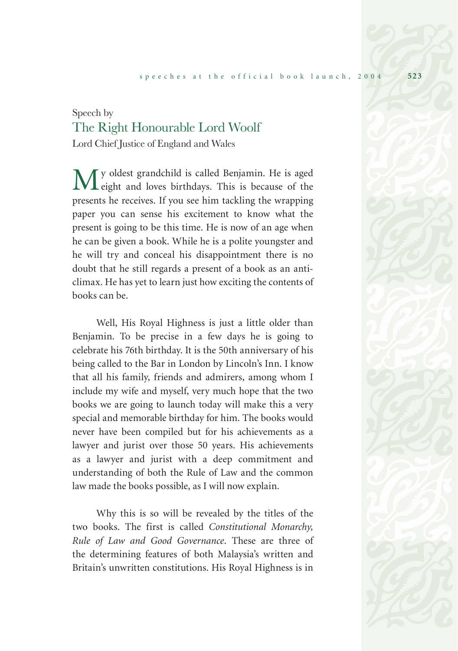## Speech by The Right Honourable Lord Woolf

Lord Chief Justice of England and Wales

My oldest grandchild is called Benjamin. He is aged eight and loves birthdays. This is because of the presents he receives. If you see him tackling the wrapping paper you can sense his excitement to know what the present is going to be this time. He is now of an age when he can be given a book. While he is a polite youngster and he will try and conceal his disappointment there is no doubt that he still regards a present of a book as an anticlimax. He has yet to learn just how exciting the contents of books can be.

Well, His Royal Highness is just a little older than Benjamin. To be precise in a few days he is going to celebrate his 76th birthday. It is the 50th anniversary of his being called to the Bar in London by Lincoln's Inn. I know that all his family, friends and admirers, among whom I include my wife and myself, very much hope that the two books we are going to launch today will make this a very special and memorable birthday for him. The books would never have been compiled but for his achievements as a lawyer and jurist over those 50 years. His achievements as a lawyer and jurist with a deep commitment and understanding of both the Rule of Law and the common law made the books possible, as I will now explain.

Why this is so will be revealed by the titles of the two books. The first is called *Constitutional Monarchy, Rule of Law and Good Governance*. These are three of the determining features of both Malaysia's written and Britain's unwritten constitutions. His Royal Highness is in

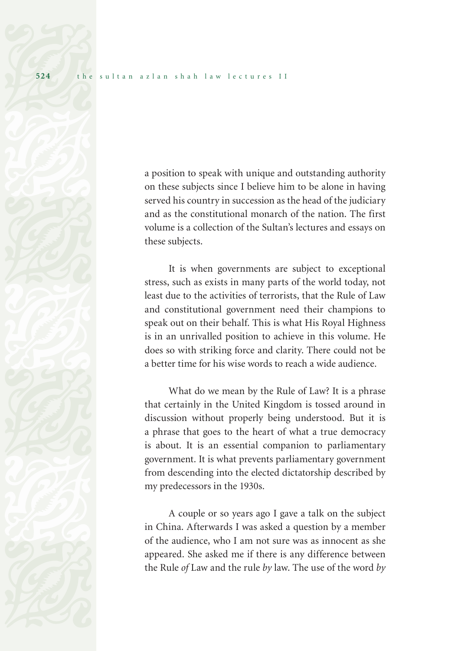a position to speak with unique and outstanding authority on these subjects since I believe him to be alone in having served his country in succession as the head of the judiciary and as the constitutional monarch of the nation. The first volume is a collection of the Sultan's lectures and essays on these subjects.

It is when governments are subject to exceptional stress, such as exists in many parts of the world today, not least due to the activities of terrorists, that the Rule of Law and constitutional government need their champions to speak out on their behalf. This is what His Royal Highness is in an unrivalled position to achieve in this volume. He does so with striking force and clarity. There could not be a better time for his wise words to reach a wide audience.

What do we mean by the Rule of Law? It is a phrase that certainly in the United Kingdom is tossed around in discussion without properly being understood. But it is a phrase that goes to the heart of what a true democracy is about. It is an essential companion to parliamentary government. It is what prevents parliamentary government from descending into the elected dictatorship described by my predecessors in the 1930s.

A couple or so years ago I gave a talk on the subject in China. Afterwards I was asked a question by a member of the audience, who I am not sure was as innocent as she appeared. She asked me if there is any difference between the Rule *of* Law and the rule *by* law. The use of the word *by*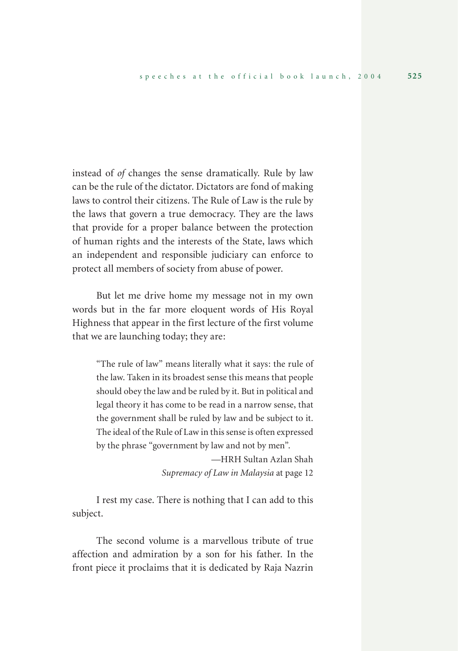instead of *of* changes the sense dramatically. Rule by law can be the rule of the dictator. Dictators are fond of making laws to control their citizens. The Rule of Law is the rule by the laws that govern a true democracy. They are the laws that provide for a proper balance between the protection of human rights and the interests of the State, laws which an independent and responsible judiciary can enforce to protect all members of society from abuse of power.

But let me drive home my message not in my own words but in the far more eloquent words of His Royal Highness that appear in the first lecture of the first volume that we are launching today; they are:

"The rule of law" means literally what it says: the rule of the law. Taken in its broadest sense this means that people should obey the law and be ruled by it. But in political and legal theory it has come to be read in a narrow sense, that the government shall be ruled by law and be subject to it. The ideal of the Rule of Law in this sense is often expressed by the phrase "government by law and not by men".

> —HRH Sultan Azlan Shah *Supremacy of Law in Malaysia* at page 12

I rest my case. There is nothing that I can add to this subject.

The second volume is a marvellous tribute of true affection and admiration by a son for his father. In the front piece it proclaims that it is dedicated by Raja Nazrin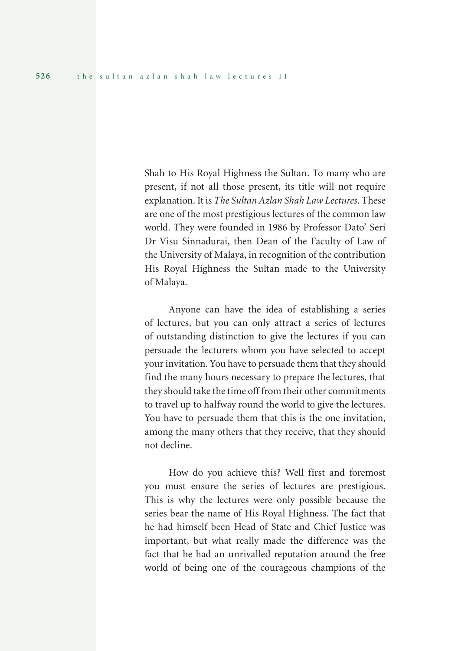Shah to His Royal Highness the Sultan. To many who are present, if not all those present, its title will not require explanation. It is *The Sultan Azlan Shah Law Lectures*. These are one of the most prestigious lectures of the common law world. They were founded in 1986 by Professor Dato' Seri Dr Visu Sinnadurai, then Dean of the Faculty of Law of the University of Malaya, in recognition of the contribution His Royal Highness the Sultan made to the University of Malaya.

Anyone can have the idea of establishing a series of lectures, but you can only attract a series of lectures of outstanding distinction to give the lectures if you can persuade the lecturers whom you have selected to accept your invitation. You have to persuade them that they should find the many hours necessary to prepare the lectures, that they should take the time off from their other commitments to travel up to halfway round the world to give the lectures. You have to persuade them that this is the one invitation, among the many others that they receive, that they should not decline.

How do you achieve this? Well first and foremost you must ensure the series of lectures are prestigious. This is why the lectures were only possible because the series bear the name of His Royal Highness. The fact that he had himself been Head of State and Chief Justice was important, but what really made the difference was the fact that he had an unrivalled reputation around the free world of being one of the courageous champions of the